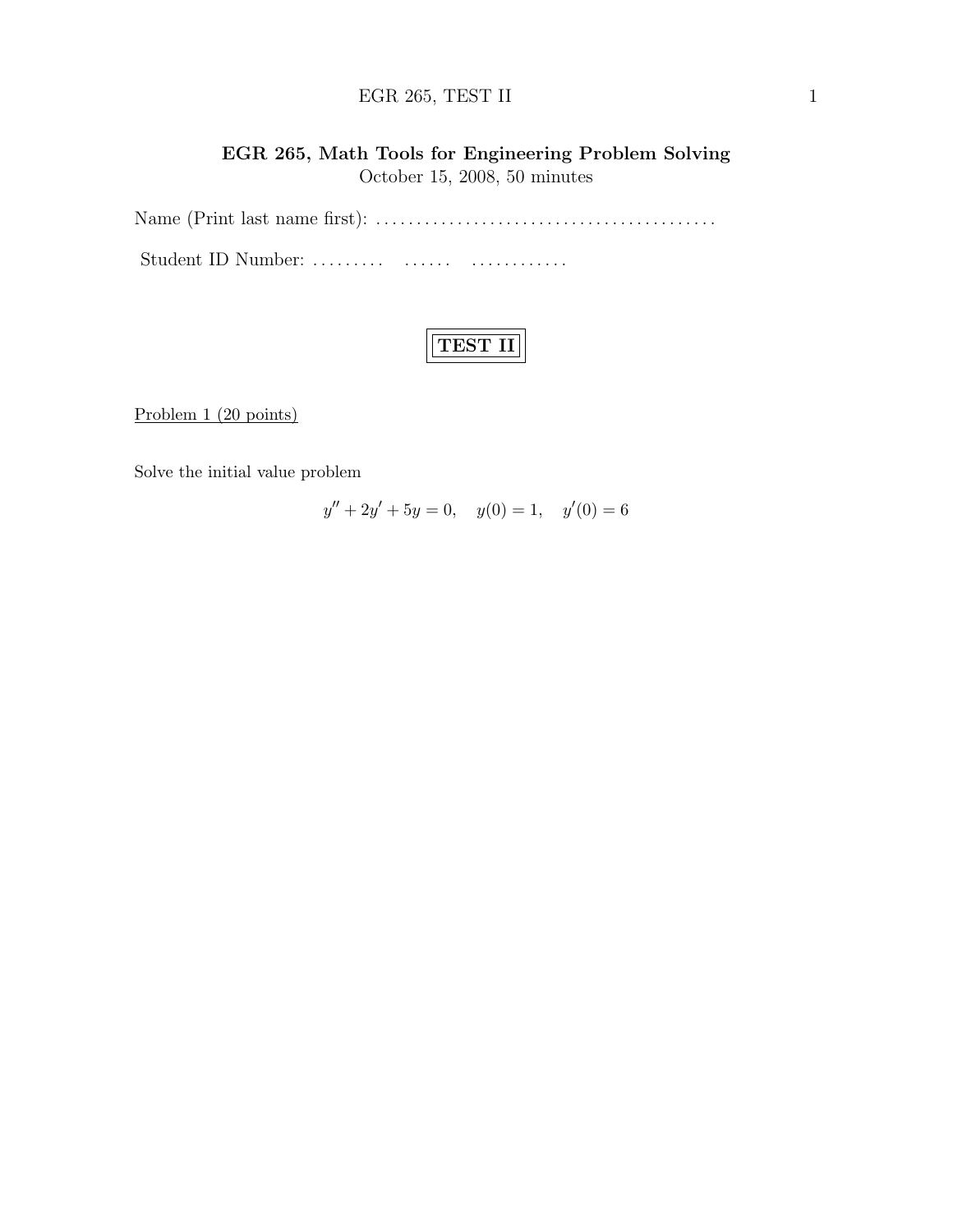# $EGR 265, TEST II$  1

# EGR 265, Math Tools for Engineering Problem Solving October 15, 2008, 50 minutes

Name (Print last name first): . . . . . . . . . . . . . . . . . . . . . . . . . . . . . . . . . . . . . . . . . . Student ID Number: ......... ....... ................

Problem 1 (20 points)

Solve the initial value problem

 $y'' + 2y' + 5y = 0$ ,  $y(0) = 1$ ,  $y'(0) = 6$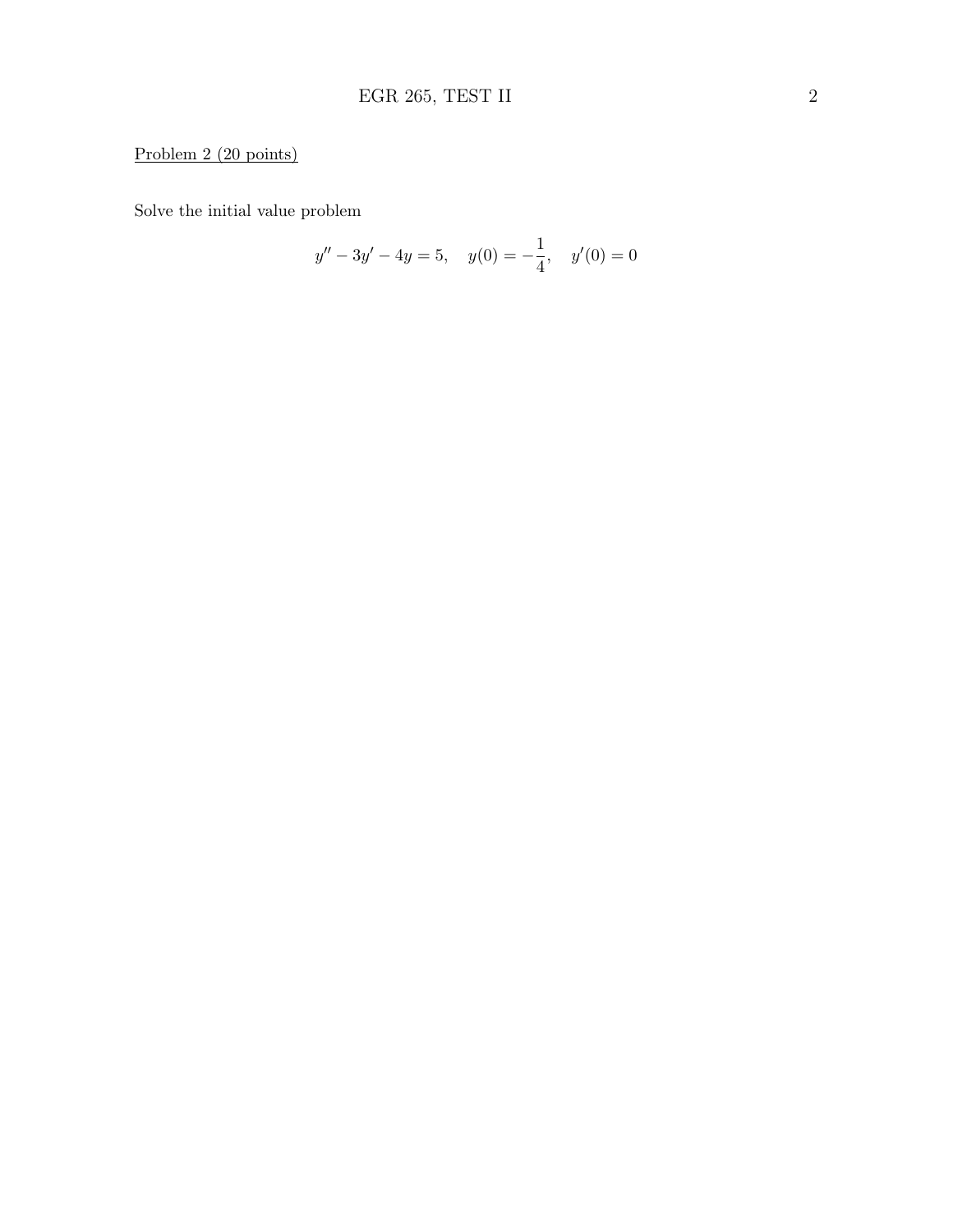# Problem 2 (20 points)

Solve the initial value problem

$$
y'' - 3y' - 4y = 5, \quad y(0) = -\frac{1}{4}, \quad y'(0) = 0
$$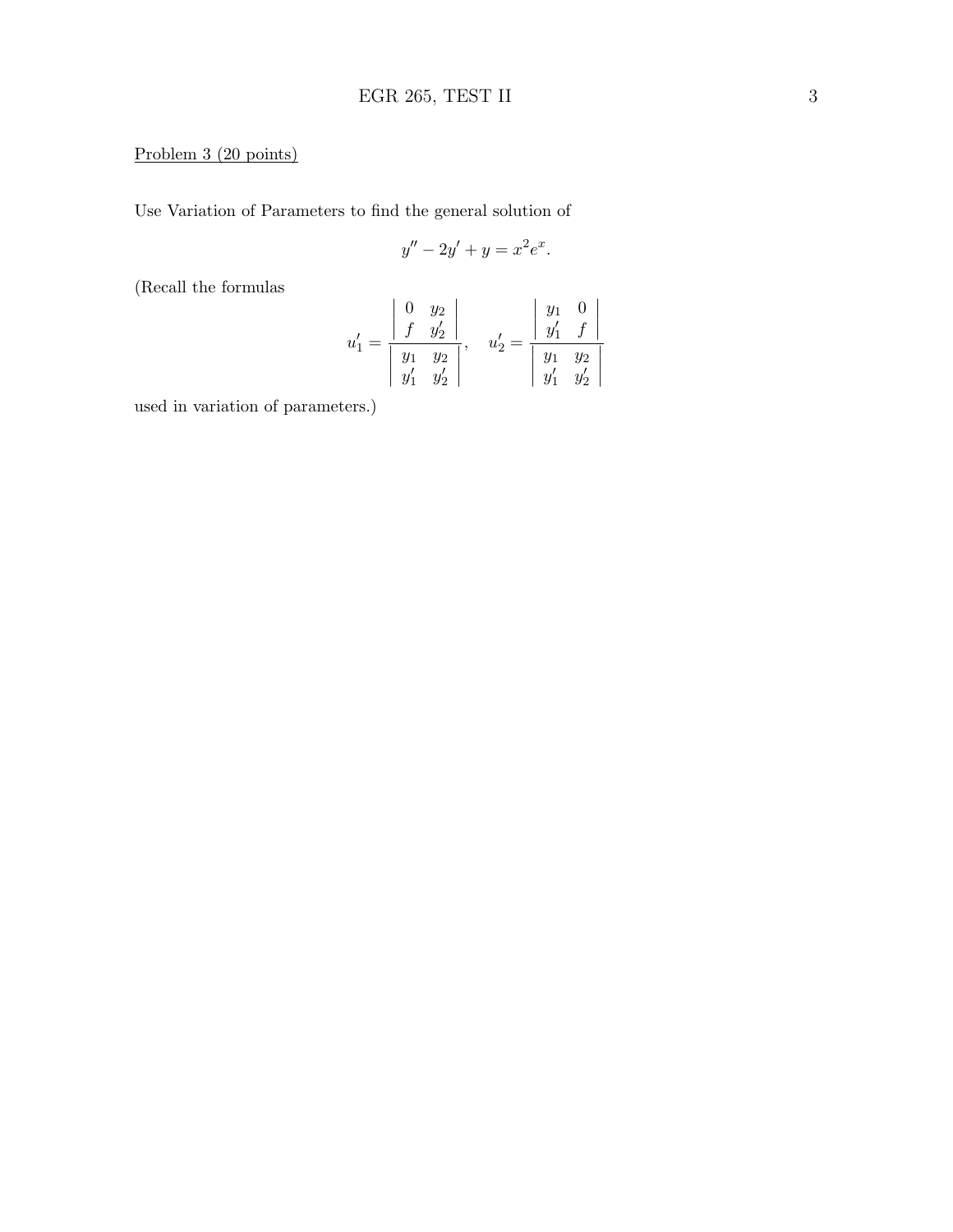### Problem 3 (20 points)

Use Variation of Parameters to find the general solution of

$$
y'' - 2y' + y = x^2 e^x.
$$

(Recall the formulas

$$
u'_1 = \frac{\begin{vmatrix} 0 & y_2 \\ f & y'_2 \end{vmatrix}}{\begin{vmatrix} y_1 & y_2 \\ y'_1 & y'_2 \end{vmatrix}}, \quad u'_2 = \frac{\begin{vmatrix} y_1 & 0 \\ y'_1 & f \end{vmatrix}}{\begin{vmatrix} y_1 & y_2 \\ y'_1 & y'_2 \end{vmatrix}}
$$

used in variation of parameters.)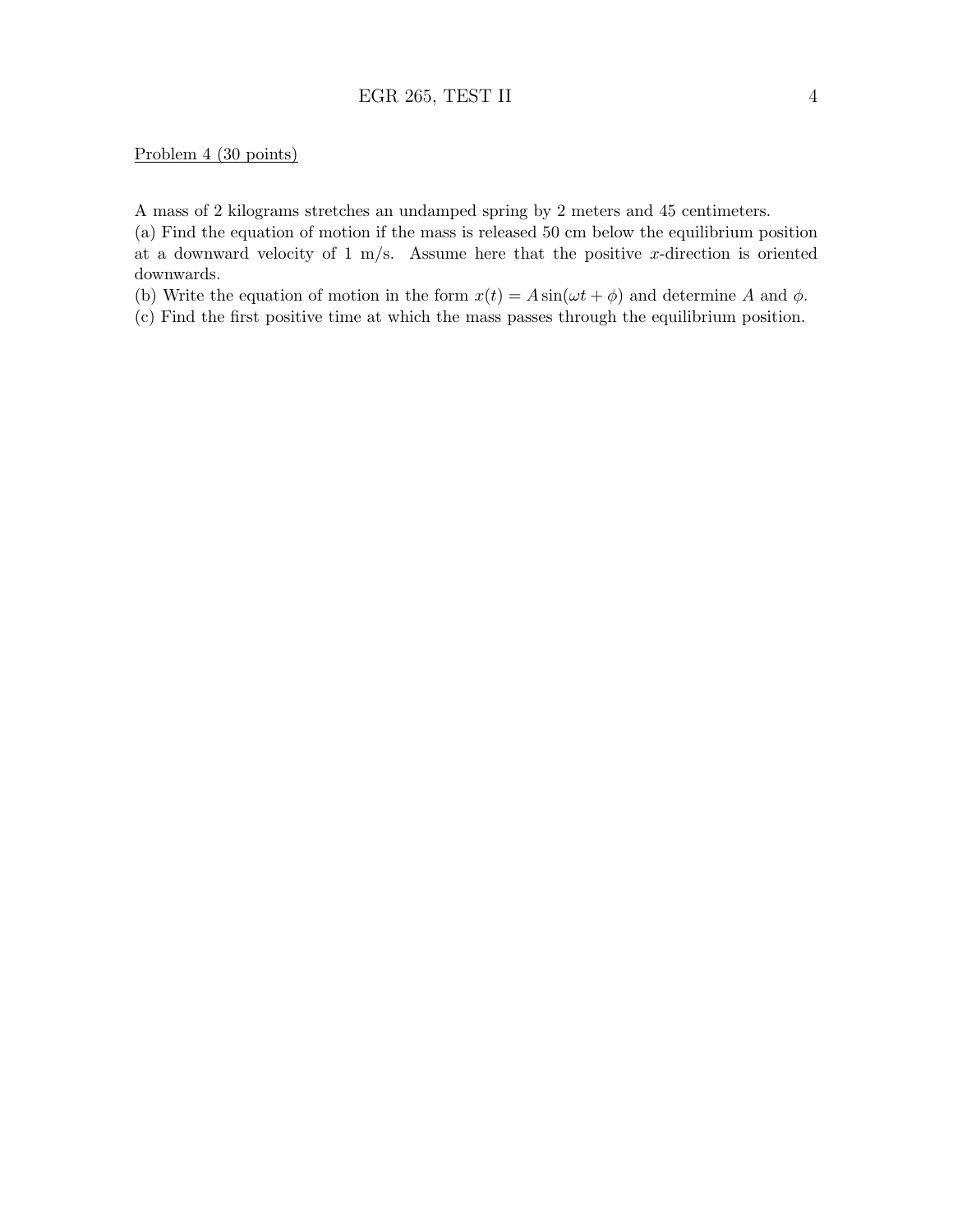#### Problem 4 (30 points)

A mass of 2 kilograms stretches an undamped spring by 2 meters and 45 centimeters.

(a) Find the equation of motion if the mass is released 50 cm below the equilibrium position at a downward velocity of 1 m/s. Assume here that the positive x-direction is oriented downwards.

(b) Write the equation of motion in the form  $x(t) = A \sin(\omega t + \phi)$  and determine A and  $\phi$ .

(c) Find the first positive time at which the mass passes through the equilibrium position.